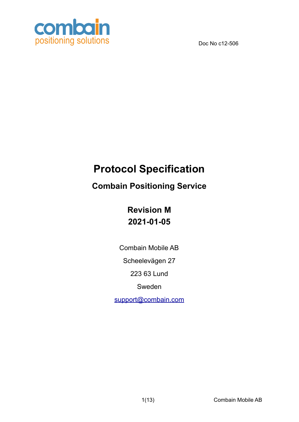

# **Protocol Specification**

## **Combain Positioning Service**

**Revision M 2021-01-05**

Combain Mobile AB

Scheelevägen 27

223 63 Lund

Sweden

support@combain.com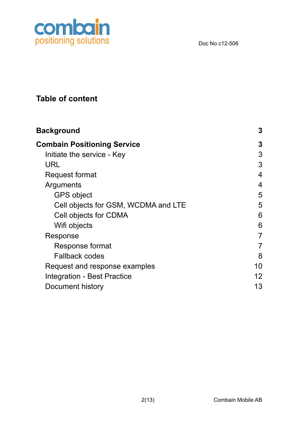

## **Table of content**

| <b>Background</b>                   | 3              |
|-------------------------------------|----------------|
| <b>Combain Positioning Service</b>  | 3              |
| Initiate the service - Key          | 3              |
| URL                                 | 3              |
| <b>Request format</b>               | 4              |
| Arguments                           | $\overline{4}$ |
| <b>GPS object</b>                   | 5              |
| Cell objects for GSM, WCDMA and LTE | 5              |
| Cell objects for CDMA               | 6              |
| Wifi objects                        | 6              |
| Response                            | 7              |
| Response format                     | 7              |
| <b>Fallback codes</b>               | 8              |
| Request and response examples       | 10             |
| <b>Integration - Best Practice</b>  | 12             |
| Document history                    | 13             |
|                                     |                |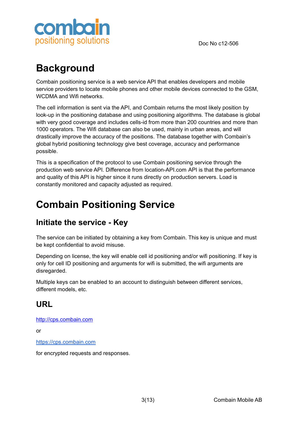

# <span id="page-2-0"></span>**Background**

Combain positioning service is a web service API that enables developers and mobile service providers to locate mobile phones and other mobile devices connected to the GSM, WCDMA and Wifi networks.

The cell information is sent via the API, and Combain returns the most likely position by look-up in the positioning database and using positioning algorithms. The database is global with very good coverage and includes cells-id from more than 200 countries and more than 1000 operators. The Wifi database can also be used, mainly in urban areas, and will drastically improve the accuracy of the positions. The database together with Combain's global hybrid positioning technology give best coverage, accuracy and performance possible.

This is a specification of the protocol to use Combain positioning service through the production web service API. Difference from location-API.com API is that the performance and quality of this API is higher since it runs directly on production servers. Load is constantly monitored and capacity adjusted as required.

# <span id="page-2-1"></span>**Combain Positioning Service**

### <span id="page-2-2"></span>**Initiate the service - Key**

The service can be initiated by obtaining a key from Combain. This key is unique and must be kept confidential to avoid misuse.

Depending on license, the key will enable cell id positioning and/or wifi positioning. If key is only for cell ID positioning and arguments for wifi is submitted, the wifi arguments are disregarded.

Multiple keys can be enabled to an account to distinguish between different services, different models, etc.

### <span id="page-2-3"></span>**URL**

<http://cps.combain.com>

or

<https://cps.combain.com>

for encrypted requests and responses.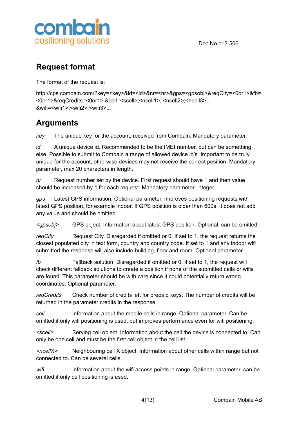



### <span id="page-3-0"></span>**Request format**

The format of the request is:

http://cps.combain.com/?key=<key>&id=<id>&nr=<nr>&gps=<gpsobj>&reqCity=<0or1>&fb= <0or1>&reqCredits=<0or1> &cell=<scell>;<ncell1>; <ncell2>;<ncell3>... &wifi=<wifi1>;<wifi2>;<wifi3>...

## <span id="page-3-1"></span>**Arguments**

*key* The unique key for the account, received from Combain. Mandatory parameter.

*id* A unique device id. Recommended to be the IMEI number, but can be something else. Possible to submit to Combain a range of allowed device id's. Important to be truly unique for the account, otherwise devices may not receive the correct position. Mandatory parameter, max 20 characters in length.

*nr* Request number set by the device. First request should have 1 and then value should be increased by 1 for each request. Mandatory parameter, integer.

*gps* Latest GPS information. Optional parameter. Improves positioning requests with latest GPS position, for example indoor. If GPS position is older than 600s, it does not add any value and should be omitted.

*<gpsobj>* GPS object. Information about latest GPS position. Optional, can be omitted.

*reqCity* Request City. Disregarded if omitted or 0. If set to 1, the request returns the closest populated city in text form, country and country code. If set to 1 and any indoor wifi submitted the response will also include building, floor and room. Optional parameter.

*fb* Fallback solution. Disregarded if omitted or 0. If set to 1, the request will check different fallback solutions to create a position if none of the submitted cells or wifis are found. This parameter should be with care since it could potentially return wrong coordinates. Optional parameter.

*reqCredits* Check number of credits left for prepaid keys. The number of credits will be returned in the parameter credits in the response.

*cell* Information about the mobile cells in range. Optional parameter. Can be omitted if only wifi positioning is used, but improves performance even for wifi positioning.

*<scell>* Serving cell object. Information about the cell the device is connected to. Can only be one cell and must be the first cell object in the cell list.

*<ncellX>* Neighbouring cell X object. Information about other cells within range but not connected to. Can be several cells.

*wifi* Information about the wifi access points in range. Optional parameter, can be omitted if only cell positioning is used.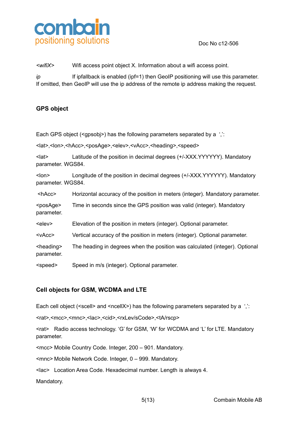

*<wifiX>* Wifi access point object X. Information about a wifi access point.

*ip* If ipfallback is enabled (ipf=1) then GeoIP positioning will use this parameter. If omitted, then GeoIP will use the ip address of the remote ip address making the request.

#### <span id="page-4-0"></span>**GPS object**

Each GPS object (<gpsobj>) has the following parameters separated by a ''.

<lat>,<lon>,<hAcc>,<posAge>,<elev>,<vAcc>,<heading>,<speed>

<lat> Latitude of the position in decimal degrees (+/-XXX.YYYYYY). Mandatory parameter. WGS84.

<lon> Longitude of the position in decimal degrees (+/-XXX.YYYYYY). Mandatory parameter. WGS84.

<hAcc> Horizontal accuracy of the position in meters (integer). Mandatory parameter.

<posAge> Time in seconds since the GPS position was valid (integer). Mandatory parameter.

<elev> Elevation of the position in meters (integer). Optional parameter.

<vAcc> Vertical accuracy of the position in meters (integer). Optional parameter.

<heading> The heading in degrees when the position was calculated (integer). Optional parameter.

<speed> Speed in m/s (integer). Optional parameter.

#### <span id="page-4-1"></span>**Cell objects for GSM, WCDMA and LTE**

Each cell object (<scell> and <ncellX>) has the following parameters separated by a ''.

<rat>,<mcc>,<mnc>,<lac>,<cid>,<rxLev/sCode>,<tA/rscp>

<rat> Radio access technology. 'G' for GSM, 'W' for WCDMA and 'L' for LTE. Mandatory parameter.

<mcc> Mobile Country Code. Integer, 200 – 901. Mandatory.

<mnc> Mobile Network Code. Integer, 0 – 999. Mandatory.

<lac> Location Area Code. Hexadecimal number. Length is always 4.

Mandatory.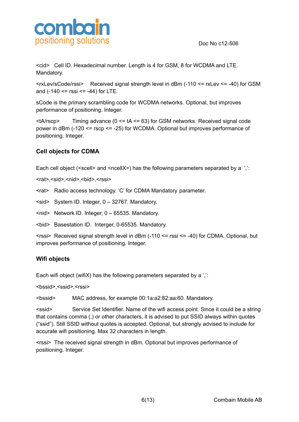

<cid> Cell ID. Hexadecimal number. Length is 4 for GSM, 8 for WCDMA and LTE. Mandatory.

<rxLev/sCode/rssi> Received signal strength level in dBm (-110 <= rxLev <= -40) for GSM and  $(-140 \leq \text{rss} \leq -44)$  for LTE.

sCode is the primary scrambling code for WCDMA networks. Optional, but improves performance of positioning. Integer.

 $\lt$ tA/rscp> Timing advance (0  $\lt$  = tA  $\lt$  = 63) for GSM networks. Received signal code power in dBm (-120 <= rscp <= -25) for WCDMA. Optional but improves performance of positioning. Integer.

#### <span id="page-5-0"></span>**Cell objects for CDMA**

Each cell object (<scell> and <ncellX>) has the following parameters separated by a '.':

<rat>,<sid>,<nid>,<br/><br/>
strat>>>>

<rat> Radio access technology. 'C' for CDMA Mandatory parameter.

<sid> System ID. Integer, 0 – 32767. Mandatory.

<nid> Network ID. Integer, 0 – 65535. Mandatory.

<bid> Basestation ID. Interger, 0-65535. Mandatory.

 $\le$ rssi> Received signal strength level in dBm (-110  $\le$  = rssi  $\le$  -40) for CDMA. Optional, but improves performance of positioning. Integer.

#### <span id="page-5-1"></span>**Wifi objects**

Each wifi object (wifiX) has the following parameters separated by a ',':

<br/>bssid>,<ssid>,<rssi>

<bssid> MAC address, for example 00:1a:a2:82:aa:60. Mandatory.

<ssid> Service Set Identifier. Name of the wifi access point. Since it could be a string that contains comma (,) or other characters, it is advised to put SSID always within quotes ("ssid"). Still SSID without quotes is accepted. Optional, but strongly advised to include for accurate wifi positioning. Max 32 characters in length.

<rssi> The received signal strength in dBm. Optional but improves performance of positioning. Integer.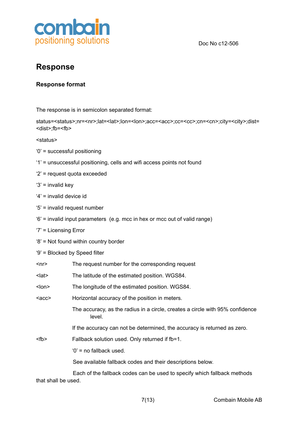

### <span id="page-6-0"></span>**Response**

#### <span id="page-6-1"></span>**Response format**

The response is in semicolon separated format:

status=<status>;nr=<nr>;lat=<lat>;lon=<lon>;acc=<acc>;cc=<cc>;cn=<cn>;city=<city>;dist= <dist>;fb=<fb>

<status>

- '0' = successful positioning
- '1' = unsuccessful positioning, cells and wifi access points not found
- '2' = request quota exceeded
- '3' = invalid key
- '4' = invalid device id
- '5' = invalid request number
- '6' = invalid input parameters (e.g. mcc in hex or mcc out of valid range)
- '7' = Licensing Error

'8' = Not found within country border

'9' = Blocked by Speed filter

| <nr></nr>   | The request number for the corresponding request                                        |  |  |
|-------------|-----------------------------------------------------------------------------------------|--|--|
| $lat$       | The latitude of the estimated position. WGS84.                                          |  |  |
| $lon$       | The longitude of the estimated position. WGS84.                                         |  |  |
| <acc></acc> | Horizontal accuracy of the position in meters.                                          |  |  |
|             | The accuracy, as the radius in a circle, creates a circle with 95% confidence<br>level. |  |  |
|             | If the accuracy can not be determined, the accuracy is returned as zero.                |  |  |
| <fb></fb>   | Fallback solution used. Only returned if fb=1.                                          |  |  |
|             | $'0'$ = no fallback used.                                                               |  |  |
|             | See available fallback codes and their descriptions below.                              |  |  |
|             | Each of the fallback codes can be used to specify which fallback methods                |  |  |

that shall be used.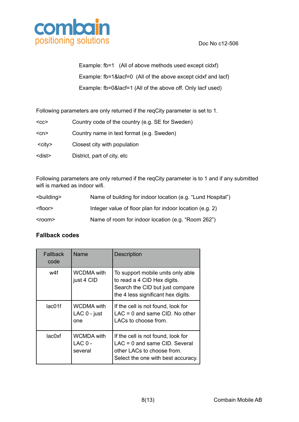

Example: fb=1 (All of above methods used except cidxf) Example: fb=1&lacf=0 (All of the above except cidxf and lacf) Example: fb=0&lacf=1 (All of the above off. Only lacf used)

Following parameters are only returned if the reqCity parameter is set to 1.

| $<$ CC $>$    | Country code of the country (e.g. SE for Sweden) |
|---------------|--------------------------------------------------|
| $<$ cn $>$    | Country name in text format (e.g. Sweden)        |
| $<$ city $>$  | Closest city with population                     |
| <dist></dist> | District, part of city, etc.                     |

Following parameters are only returned if the reqCity parameter is to 1 and if any submitted wifi is marked as indoor wifi.

| <building></building> | Name of building for indoor location (e.g. "Lund Hospital") |
|-----------------------|-------------------------------------------------------------|
| <floor></floor>       | Integer value of floor plan for indoor location (e.g. 2)    |
| $<$ room $>$          | Name of room for indoor location (e.g. "Room 262")          |

#### <span id="page-7-0"></span>**Fallback codes**

| Fallback<br>code | Name                                     | <b>Description</b>                                                                                                                        |
|------------------|------------------------------------------|-------------------------------------------------------------------------------------------------------------------------------------------|
| w4f              | <b>WCDMA</b> with<br>just 4 CID          | To support mobile units only able<br>to read a 4 CID Hex digits.<br>Search the CID but just compare<br>the 4 less significant hex digits. |
| lac01f           | <b>WCDMA</b> with<br>LAC 0 - just<br>one | If the cell is not found, look for<br>$LAC = 0$ and same CID. No other<br>LACs to choose from.                                            |
| lac0xf           | <b>WCMDA</b> with<br>$LAC0 -$<br>several | If the cell is not found, look for<br>$LAC = 0$ and same CID. Several<br>other LACs to choose from.<br>Select the one with best accuracy. |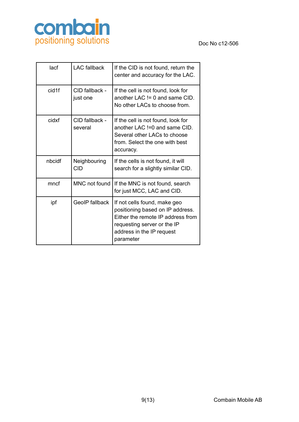

| lacf              | <b>LAC</b> fallback        | If the CID is not found, return the<br>center and accuracy for the LAC.                                                                                                        |
|-------------------|----------------------------|--------------------------------------------------------------------------------------------------------------------------------------------------------------------------------|
| cid <sub>1f</sub> | CID fallback -<br>just one | If the cell is not found, look for<br>another LAC $!= 0$ and same CID.<br>No other LACs to choose from.                                                                        |
| cidxf             | CID fallback -<br>several  | If the cell is not found, look for<br>another LAC !=0 and same CID.<br>Several other LACs to choose<br>from. Select the one with best<br>accuracy.                             |
| nbcidf            | Neighbouring<br><b>CID</b> | If the cells is not found, it will<br>search for a slightly similar CID.                                                                                                       |
| mncf              | MNC not found              | If the MNC is not found, search<br>for just MCC, LAC and CID.                                                                                                                  |
| ipf               | <b>GeoIP</b> fallback      | If not cells found, make geo<br>positioning based on IP address.<br>Either the remote IP address from<br>requesting server or the IP<br>address in the IP request<br>parameter |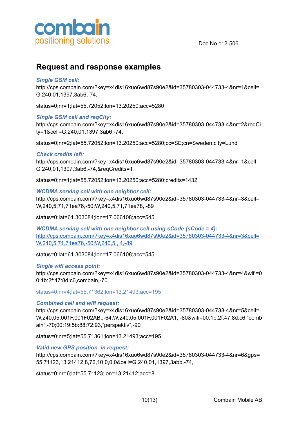

### <span id="page-9-0"></span>**Request and response examples**

#### *Single GSM cell:*

http://cps.combain.com/?key=x4dis16xuo6wd87s90e2&id=35780303-044733-4&nr=1&cell= G,240,01,1397,3ab6,-74,

status=0;nr=1;lat=55.72052;lon=13.20250;acc=5280

#### *Single GSM cell and reqCity:*

http://cps.combain.com/?key=x4dis16xuo6wd87s90e2&id=35780303-044733-4&nr=2&reqCi ty=1&cell=G,240,01,1397,3ab6,-74,

status=0;nr=2;lat=55.72052;lon=13.20250;acc=5280;cc=SE;cn=Sweden;city=Lund

#### *Check credits left:*

http://cps.combain.com/?key=x4dis16xuo6wd87s90e2&id=35780303-044733-4&nr=1&cell= G,240,01,1397,3ab6,-74,&reqCredits=1

status=0;nr=1;lat=55.72052;lon=13.20250;acc=5280;credits=1432

#### *WCDMA serving cell with one neighbor cell:*

http://cps.combain.com/?key=x4dis16xuo6wd87s90e2&id=35780303-044733-4&nr=3&cell= W,240,5,71,71ea76,-50;W,240,5,71,71ea78,,-89

status=0;lat=61.303084;lon=17.066108;acc=545

*WCDMA serving cell with one neighbor cell using sCode (sCode = 4):* [http://cps.combain.com/?key=x4dis16xuo6wd87s90e2&id=35780303-044733-4&nr=3&cell=](http://cps.combain.com/?key=x4dis16xuo6wd87s90e2&id=35780303-044733-4&nr=3&cell=W,240,05,0019,00195f73,,-64;W,240,05,,,128,-80) [W,240,5,71,71ea76,-50;W,240,5,,,4,-89](http://cps.combain.com/?key=x4dis16xuo6wd87s90e2&id=35780303-044733-4&nr=3&cell=W,240,05,0019,00195f73,,-64;W,240,05,,,128,-80)

status=0;lat=61.303084;lon=17.066108;acc=545

#### *Single wifi access point:*

http://cps.combain.com/?key=x4dis16xuo6wd87s90e2&id=35780303-044733-4&nr=4&wifi=0 0:1b:2f:47:8d:c6,combain,-70

status=0;nr=4;lat=55.71362;lon=13.21493;acc=195

#### *Combined cell and wifi request:*

http://cps.combain.com/?key=x4dis16xuo6wd87s90e2&id=35780303-044733-4&nr=5&cell= W,240,05,001F,001F02AB,,-64;W,240,05,001F,001F02A1,,-80&wifi=00:1b:2f:47:8d:c6,"comb ain",-70;00:19:5b:88:72:93,"perspektiv",-90

status=0;nr=5;lat=55.71361;lon=13.21493;acc=195

#### *Valid new GPS position in request:*

http://cps.combain.com/?key=x4dis16xuo6wd87s90e2&id=35780303-044733-4&nr=6&gps= 55.71123,13.21412,8,72,10,0,0,0&cell=G,240,01,1397,3abb,-74,

status=0;nr=6;lat=55.71123;lon=13.21412;acc=8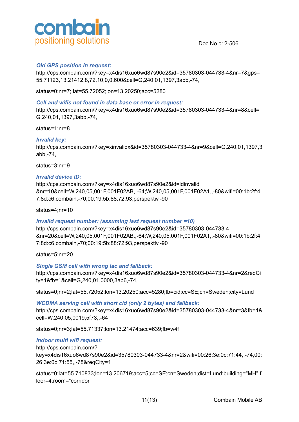

#### *Old GPS position in request:*

http://cps.combain.com/?key=x4dis16xuo6wd87s90e2&id=35780303-044733-4&nr=7&gps= 55.71123,13.21412,8,72,10,0,0,600&cell=G,240,01,1397,3abb,-74,

status=0;nr=7; lat=55.72052;lon=13.20250;acc=5280

#### *Cell and wifis not found in data base or error in request:*

http://cps.combain.com/?key=x4dis16xuo6wd87s90e2&id=35780303-044733-4&nr=8&cell= G,240,01,1397,3abb,-74,

status=1;nr=8

#### *Invalid key:*

http://cps.combain.com/?key=xinvalidx&id=35780303-044733-4&nr=9&cell=G,240,01,1397,3 abb,-74,

status=3;nr=9

#### *Invalid device ID:*

http://cps.combain.com/?key=x4dis16xuo6wd87s90e2&id=idinvalid &nr=10&cell=W,240,05,001F,001F02AB,,-64;W,240,05,001F,001F02A1,,-80&wifi=00:1b:2f:4 7:8d:c6,combain,-70;00:19:5b:88:72:93,perspektiv,-90

status=4;nr=10

#### *Invalid request number: (assuming last request number =10)*

http://cps.combain.com/?key=x4dis16xuo6wd87s90e2&id=35780303-044733-4 &nr=20&cell=W,240,05,001F,001F02AB,,-64;W,240,05,001F,001F02A1,,-80&wifi=00:1b:2f:4 7:8d:c6,combain,-70;00:19:5b:88:72:93,perspektiv,-90

status=5;nr=20

#### *Single GSM cell with wrong lac and fallback:*

http://cps.combain.com/?key=x4dis16xuo6wd87s90e2&id=35780303-044733-4&nr=2&reqCi ty=1&fb=1&cell=G,240,01,0000,3ab6,-74,

status=0;nr=2;lat=55.72052;lon=13.20250;acc=5280;fb=cid;cc=SE;cn=Sweden;city=Lund

*WCDMA serving cell with short cid (only 2 bytes) and fallback:* http://cps.combain.com/?key=x4dis16xuo6wd87s90e2&id=35780303-044733-4&nr=3&fb=1& cell=W,240,05,0019,5f73,,-64

status=0;nr=3;lat=55.71337;lon=13.21474;acc=639;fb=w4f

#### *Indoor multi wifi request:*

http://cps.combain.com/? key=x4dis16xuo6wd87s90e2&id=35780303-044733-4&nr=2&wifi=00:26:3e:0c:71:44,,-74,00: 26:3e:0c:71:55,,-78&reqCity=1

status=0;lat=55.710833;lon=13.206719;acc=5;cc=SE;cn=Sweden;dist=Lund;building="MH";f loor=4;room="corridor"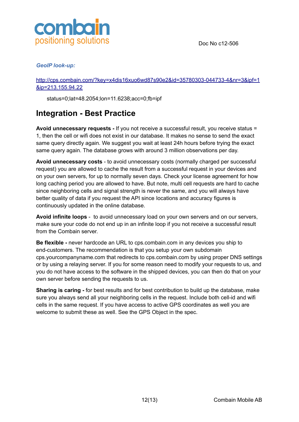

#### *GeoIP look-up:*

[http://cps.combain.com/?key=x4dis16xuo6wd87s90e2&id=35780303-044733-4&nr=3&ipf=1](http://cps.combain.com/?key=x4dis16xuo6wd87s90e2&id=35780303-044733-4&nr=3&ipf=1&ip=213.155.94.22) [&ip=213.155.94.22](http://cps.combain.com/?key=x4dis16xuo6wd87s90e2&id=35780303-044733-4&nr=3&ipf=1&ip=213.155.94.22)

status=0;lat=48.2054;lon=11.6238;acc=0;fb=ipf

### <span id="page-11-0"></span>**Integration - Best Practice**

**Avoid unnecessary requests -** If you not receive a successful result, you receive status = 1, then the cell or wifi does not exist in our database. It makes no sense to send the exact same query directly again. We suggest you wait at least 24h hours before trying the exact same query again. The database grows with around 3 million observations per day.

**Avoid unnecessary costs** - to avoid unnecessary costs (normally charged per successful request) you are allowed to cache the result from a successful request in your devices and on your own servers, for up to normally seven days. Check your license agreement for how long caching period you are allowed to have. But note, multi cell requests are hard to cache since neighboring cells and signal strength is never the same, and you will always have better quality of data if you request the API since locations and accuracy figures is continuously updated in the online database.

**Avoid infinite loops** - to avoid unnecessary load on your own servers and on our servers, make sure your code do not end up in an infinite loop if you not receive a successful result from the Combain server.

**Be flexible -** never hardcode an URL to cps.combain.com in any devices you ship to end-customers. The recommendation is that you setup your own subdomain cps.yourcompanyname.com that redirects to cps.combain.com by using proper DNS settings or by using a relaying server. If you for some reason need to modify your requests to us, and you do not have access to the software in the shipped devices, you can then do that on your own server before sending the requests to us.

**Sharing is caring -** for best results and for best contribution to build up the database, make sure you always send all your neighboring cells in the request. Include both cell-id and wifi cells in the same request. If you have access to active GPS coordinates as well you are welcome to submit these as well. See the GPS Object in the spec.